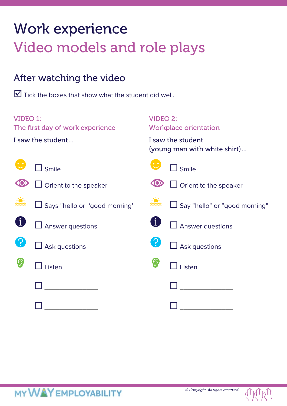# Work experience Video models and role plays

### After watching the video

 $\blacksquare$  Tick the boxes that show what the student did well.

| <b>VIDEO 1:</b><br>The first day of work experience |                               | <b>VIDEO 2:</b><br><b>Workplace orientation</b>   |                               |  |
|-----------------------------------------------------|-------------------------------|---------------------------------------------------|-------------------------------|--|
| I saw the student                                   |                               | I saw the student<br>(young man with white shirt) |                               |  |
|                                                     | Smile                         |                                                   | Smile                         |  |
|                                                     | $\Box$ Orient to the speaker  |                                                   | $\Box$ Orient to the speaker  |  |
|                                                     | Says "hello or 'good morning' |                                                   | Say "hello" or "good morning" |  |
|                                                     | Answer questions              |                                                   | $\Box$ Answer questions       |  |
| <u>ှ</u>                                            | Ask questions                 |                                                   | Ask questions                 |  |
|                                                     | Listen                        |                                                   | Listen                        |  |
|                                                     |                               |                                                   |                               |  |
|                                                     |                               |                                                   |                               |  |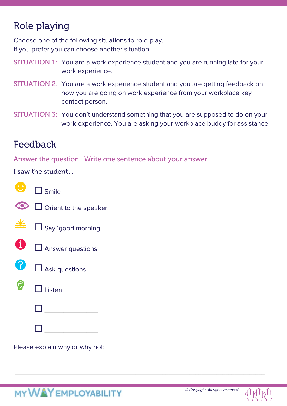### Role playing

Choose one of the following situations to role-play. If you prefer you can choose another situation.

- SITUATION 1: You are a work experience student and you are running late for your work experience.
- SITUATION 2: You are a work experience student and you are getting feedback on how you are going on work experience from your workplace key contact person.
- SITUATION 3: You don't understand something that you are supposed to do on your work experience. You are asking your workplace buddy for assistance.

\_\_\_\_\_\_\_\_\_\_\_\_\_\_\_\_\_\_\_\_\_\_\_\_\_\_\_\_\_\_\_\_\_\_\_\_\_\_\_\_\_\_\_\_\_\_\_\_\_\_\_\_\_\_\_\_\_\_\_\_\_\_\_\_\_\_\_\_\_\_\_\_\_\_\_\_\_\_\_\_\_\_\_

\_\_\_\_\_\_\_\_\_\_\_\_\_\_\_\_\_\_\_\_\_\_\_\_\_\_\_\_\_\_\_\_\_\_\_\_\_\_\_\_\_\_\_\_\_\_\_\_\_\_\_\_\_\_\_\_\_\_\_\_\_\_\_\_\_\_\_\_\_\_\_\_\_\_\_\_\_\_\_\_\_\_\_

#### Feedback

Answer the question. Write one sentence about your answer.

I saw the student…

| 8              | $\square$ Smile              |
|----------------|------------------------------|
| $\circledcirc$ | $\Box$ Orient to the speaker |
|                | $\Box$ Say 'good morning'    |
|                | $\Box$ Answer questions      |
| 8              | $\Box$ Ask questions         |
|                | ] Listen                     |
|                |                              |
|                |                              |

Please explain why or why not: